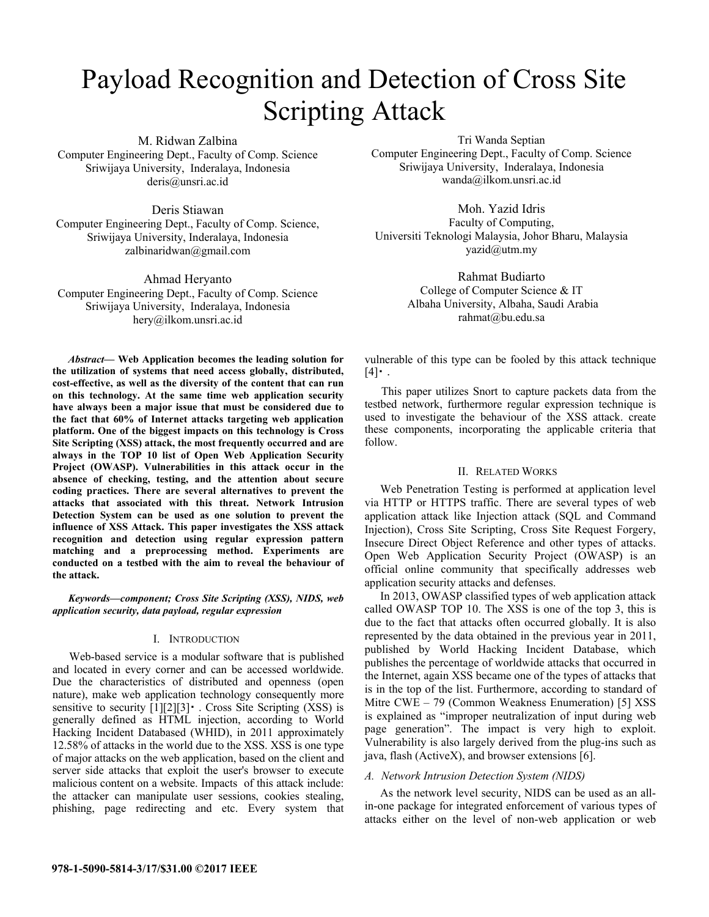# Payload Recognition and Detection of Cross Site Scripting Attack

M. Ridwan Zalbina Computer Engineering Dept., Faculty of Comp. Science Sriwijaya University, Inderalaya, Indonesia deris@unsri.ac.id

Deris Stiawan Computer Engineering Dept., Faculty of Comp. Science, Sriwijaya University, Inderalaya, Indonesia zalbinaridwan@gmail.com

Ahmad Heryanto Computer Engineering Dept., Faculty of Comp. Science Sriwijaya University, Inderalaya, Indonesia hery@ilkom.unsri.ac.id

*Abstract***— Web Application becomes the leading solution for the utilization of systems that need access globally, distributed, cost-effective, as well as the diversity of the content that can run on this technology. At the same time web application security have always been a major issue that must be considered due to the fact that 60% of Internet attacks targeting web application platform. One of the biggest impacts on this technology is Cross Site Scripting (XSS) attack, the most frequently occurred and are always in the TOP 10 list of Open Web Application Security Project (OWASP). Vulnerabilities in this attack occur in the absence of checking, testing, and the attention about secure coding practices. There are several alternatives to prevent the attacks that associated with this threat. Network Intrusion Detection System can be used as one solution to prevent the influence of XSS Attack. This paper investigates the XSS attack recognition and detection using regular expression pattern matching and a preprocessing method. Experiments are conducted on a testbed with the aim to reveal the behaviour of the attack.**

*Keywords—component; Cross Site Scripting (XSS), NIDS, web application security, data payload, regular expression* 

# I. INTRODUCTION

Web-based service is a modular software that is published and located in every corner and can be accessed worldwide. Due the characteristics of distributed and openness (open nature), make web application technology consequently more sensitive to security  $[1][2][3]$  . Cross Site Scripting (XSS) is generally defined as HTML injection, according to World Hacking Incident Databased (WHID), in 2011 approximately 12.58% of attacks in the world due to the XSS. XSS is one type of major attacks on the web application, based on the client and server side attacks that exploit the user's browser to execute malicious content on a website. Impacts of this attack include: the attacker can manipulate user sessions, cookies stealing, phishing, page redirecting and etc. Every system that

Tri Wanda Septian Computer Engineering Dept., Faculty of Comp. Science Sriwijaya University, Inderalaya, Indonesia wanda@ilkom.unsri.ac.id

Moh. Yazid Idris Faculty of Computing, Universiti Teknologi Malaysia, Johor Bharu, Malaysia yazid@utm.my

> Rahmat Budiarto College of Computer Science & IT Albaha University, Albaha, Saudi Arabia rahmat@bu.edu.sa

vulnerable of this type can be fooled by this attack technique  $[4]$  .

This paper utilizes Snort to capture packets data from the testbed network, furthermore regular expression technique is used to investigate the behaviour of the XSS attack. create these components, incorporating the applicable criteria that follow.

# II. RELATED WORKS

Web Penetration Testing is performed at application level via HTTP or HTTPS traffic. There are several types of web application attack like Injection attack (SQL and Command Injection), Cross Site Scripting, Cross Site Request Forgery, Insecure Direct Object Reference and other types of attacks. Open Web Application Security Project (OWASP) is an official online community that specifically addresses web application security attacks and defenses.

In 2013, OWASP classified types of web application attack called OWASP TOP 10. The XSS is one of the top 3, this is due to the fact that attacks often occurred globally. It is also represented by the data obtained in the previous year in 2011, published by World Hacking Incident Database, which publishes the percentage of worldwide attacks that occurred in the Internet, again XSS became one of the types of attacks that is in the top of the list. Furthermore, according to standard of Mitre CWE – 79 (Common Weakness Enumeration) [5] XSS is explained as "improper neutralization of input during web page generation". The impact is very high to exploit. Vulnerability is also largely derived from the plug-ins such as java, flash (ActiveX), and browser extensions [6].

# *A. Network Intrusion Detection System (NIDS)*

As the network level security, NIDS can be used as an allin-one package for integrated enforcement of various types of attacks either on the level of non-web application or web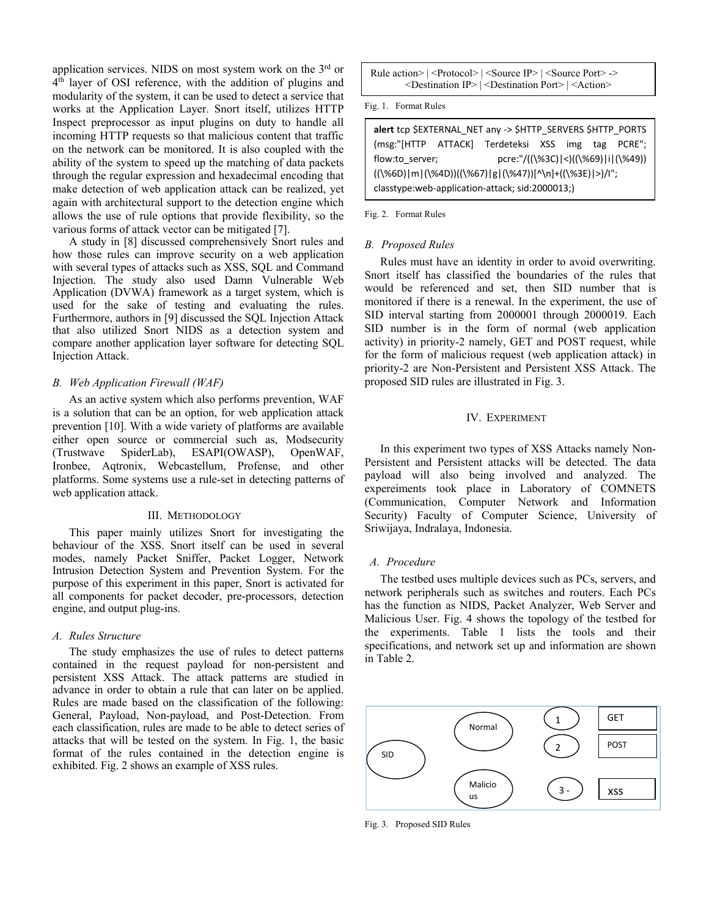application services. NIDS on most system work on the 3<sup>rd</sup> or 4th layer of OSI reference, with the addition of plugins and modularity of the system, it can be used to detect a service that works at the Application Layer. Snort itself, utilizes HTTP Inspect preprocessor as input plugins on duty to handle all incoming HTTP requests so that malicious content that traffic on the network can be monitored. It is also coupled with the ability of the system to speed up the matching of data packets through the regular expression and hexadecimal encoding that make detection of web application attack can be realized, yet again with architectural support to the detection engine which allows the use of rule options that provide flexibility, so the various forms of attack vector can be mitigated [7].

A study in [8] discussed comprehensively Snort rules and how those rules can improve security on a web application with several types of attacks such as XSS, SQL and Command Injection. The study also used Damn Vulnerable Web Application (DVWA) framework as a target system, which is used for the sake of testing and evaluating the rules. Furthermore, authors in [9] discussed the SQL Injection Attack that also utilized Snort NIDS as a detection system and compare another application layer software for detecting SQL Injection Attack.

# *B. Web Application Firewall (WAF)*

As an active system which also performs prevention, WAF is a solution that can be an option, for web application attack prevention [10]. With a wide variety of platforms are available either open source or commercial such as, Modsecurity (Trustwave SpiderLab), ESAPI(OWASP), OpenWAF, Ironbee, Aqtronix, Webcastellum, Profense, and other platforms. Some systems use a rule-set in detecting patterns of web application attack.

# III. METHODOLOGY

This paper mainly utilizes Snort for investigating the behaviour of the XSS. Snort itself can be used in several modes, namely Packet Sniffer, Packet Logger, Network Intrusion Detection System and Prevention System. For the purpose of this experiment in this paper, Snort is activated for all components for packet decoder, pre-processors, detection engine, and output plug-ins.

# *A. Rules Structure*

The study emphasizes the use of rules to detect patterns contained in the request payload for non-persistent and persistent XSS Attack. The attack patterns are studied in advance in order to obtain a rule that can later on be applied. Rules are made based on the classification of the following: General, Payload, Non-payload, and Post-Detection. From each classification, rules are made to be able to detect series of attacks that will be tested on the system. In Fig. 1, the basic format of the rules contained in the detection engine is exhibited. Fig. 2 shows an example of XSS rules.

|  | Rule action>   <protocol>   <source ip=""/>   <source port=""/> -&gt;</protocol> |
|--|----------------------------------------------------------------------------------|
|  | $\leq$ Destination IP> $ \leq$ Destination Port> $ \leq$ Action>                 |

#### Fig. 1. Format Rules

| alert tcp \$EXTERNAL_NET any -> \$HTTP_SERVERS \$HTTP PORTS    |                                    |  |  |  |  |  |
|----------------------------------------------------------------|------------------------------------|--|--|--|--|--|
| (msg:"[HTTP ATTACK] Terdeteksi XSS img tag PCRE";              |                                    |  |  |  |  |  |
| flow:to server;                                                | pcre:"/((\%3C) <)((\%69) i (\%49)) |  |  |  |  |  |
| $((\%6D) m (\%4D))((\%67) g (\%47))[^{\n\n}[n]+((\%3E) >)/I";$ |                                    |  |  |  |  |  |
| classtype:web-application-attack; sid:2000013;)                |                                    |  |  |  |  |  |

Fig. 2. Format Rules

# *B. Proposed Rules*

Rules must have an identity in order to avoid overwriting. Snort itself has classified the boundaries of the rules that would be referenced and set, then SID number that is monitored if there is a renewal. In the experiment, the use of SID interval starting from 2000001 through 2000019. Each SID number is in the form of normal (web application activity) in priority-2 namely, GET and POST request, while for the form of malicious request (web application attack) in priority-2 are Non-Persistent and Persistent XSS Attack. The proposed SID rules are illustrated in Fig. 3.

# IV. EXPERIMENT

In this experiment two types of XSS Attacks namely Non-Persistent and Persistent attacks will be detected. The data payload will also being involved and analyzed. The expereiments took place in Laboratory of COMNETS (Communication, Computer Network and Information Security) Faculty of Computer Science, University of Sriwijaya, Indralaya, Indonesia.

# *A. Procedure*

The testbed uses multiple devices such as PCs, servers, and network peripherals such as switches and routers. Each PCs has the function as NIDS, Packet Analyzer, Web Server and Malicious User. Fig. 4 shows the topology of the testbed for the experiments. Table 1 lists the tools and their specifications, and network set up and information are shown in Table 2.



Fig. 3. Proposed SID Rules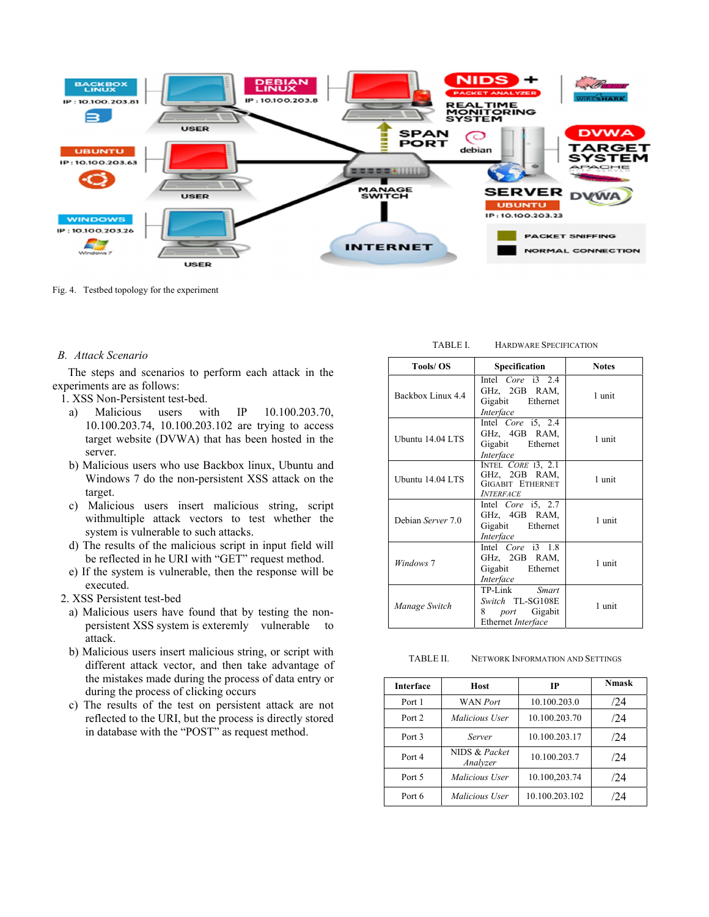

Fig. 4. Testbed topology for the experiment

# *B. Attack Scenario*

The steps and scenarios to perform each attack in the experiments are as follows:

1. XSS Non-Persistent test-bed.

- a) Malicious users with IP 10.100.203.70, 10.100.203.74, 10.100.203.102 are trying to access target website (DVWA) that has been hosted in the server.
- b) Malicious users who use Backbox linux, Ubuntu and Windows 7 do the non-persistent XSS attack on the target.
- c) Malicious users insert malicious string, script withmultiple attack vectors to test whether the system is vulnerable to such attacks.
- d) The results of the malicious script in input field will be reflected in he URI with "GET" request method.
- e) If the system is vulnerable, then the response will be executed.
- 2. XSS Persistent test-bed
	- a) Malicious users have found that by testing the nonpersistent XSS system is exteremly vulnerable to attack.
	- b) Malicious users insert malicious string, or script with different attack vector, and then take advantage of the mistakes made during the process of data entry or during the process of clicking occurs
	- c) The results of the test on persistent attack are not reflected to the URI, but the process is directly stored in database with the "POST" as request method.

#### TABLE I. HARDWARE SPECIFICATION

| <b>Tools/OS</b>   | Specification                                                                      | <b>Notes</b> |
|-------------------|------------------------------------------------------------------------------------|--------------|
| Backbox Linux 44  | Intel Core i3 2.4<br>GHz, 2GB RAM,<br>Gigabit Ethernet<br>Interface                | 1 unit       |
| Ubuntu 14.04 LTS  | Intel Core i5, 2.4<br>GHz, 4GB RAM,<br>Gigabit Ethernet<br>Interface               | 1 unit       |
| Ubuntu 14.04 LTS  | INTEL CORE 13, 2.1<br>GHZ, 2GB RAM,<br><b>GIGABIT ETHERNET</b><br><b>INTERFACE</b> | 1 unit       |
| Debian Server 7.0 | Intel Core i5, 2.7<br>GHz, 4GB RAM,<br>Gigabit Ethernet<br>Interface               | 1 unit       |
| Windows 7         | Intel Core i3 1.8<br>GHz, 2GB RAM,<br>Gigabit Ethernet<br>Interface                | 1 unit       |
| Manage Switch     | TP-Link Smart<br>Switch TL-SG108E<br>8 <i>port</i> Gigabit<br>Ethernet Interface   | 1 unit       |

TABLE II. NETWORK INFORMATION AND SETTINGS

| <b>Interface</b> | <b>Host</b>               | <b>IP</b>      | <b>Nmask</b> |
|------------------|---------------------------|----------------|--------------|
| Port 1           | WAN Port                  | 10.100.203.0   | /24          |
| Port 2           | Malicious User            | 10.100.203.70  | /24          |
| Port 3           | Server                    | 10.100.203.17  | /24          |
| Port 4           | NIDS & Packet<br>Analyzer | 10.100.203.7   | /24          |
| Port 5           | Malicious User            | 10.100,203.74  | /24          |
| Port 6           | Malicious User            | 10.100.203.102 | 74           |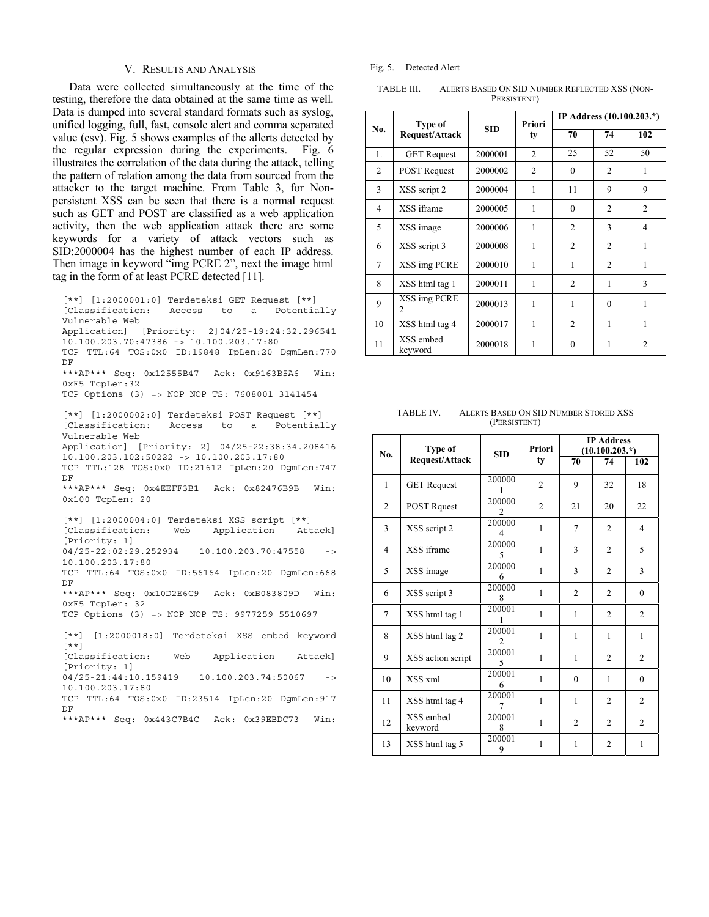#### V. RESULTS AND ANALYSIS

Data were collected simultaneously at the time of the testing, therefore the data obtained at the same time as well. Data is dumped into several standard formats such as syslog, unified logging, full, fast, console alert and comma separated value (csv). Fig. 5 shows examples of the allerts detected by the regular expression during the experiments. Fig. 6 illustrates the correlation of the data during the attack, telling the pattern of relation among the data from sourced from the attacker to the target machine. From Table 3, for Nonpersistent XSS can be seen that there is a normal request such as GET and POST are classified as a web application activity, then the web application attack there are some keywords for a variety of attack vectors such as SID:2000004 has the highest number of each IP address. Then image in keyword "img PCRE 2", next the image html tag in the form of at least PCRE detected [11].

[\*\*] [1:2000001:0] Terdeteksi GET Request [\*\*] [Classification: Access to a Potentially Vulnerable Web Application] [Priority: 2]04/25-19:24:32.296541 10.100.203.70:47386 -> 10.100.203.17:80 TCP TTL:64 TOS:0x0 ID:19848 IpLen:20 DgmLen:770 DF \*\*\*AP\*\*\* Seq: 0x12555B47 Ack: 0x9163B5A6 Win: 0xE5 TcpLen:32 TCP Options (3) => NOP NOP TS: 7608001 3141454 [\*\*] [1:2000002:0] Terdeteksi POST Request [\*\*] [Classification: Access to a Potentially Vulnerable Web Application] [Priority: 2] 04/25-22:38:34.208416 10.100.203.102:50222 -> 10.100.203.17:80 TCP TTL:128 TOS:0x0 ID:21612 IpLen:20 DgmLen:747 DF \*\*\*AP\*\*\* Seq: 0x4EEFF3B1 Ack: 0x82476B9B Win: 0x100 TcpLen: 20 [\*\*] [1:2000004:0] Terdeteksi XSS script [\*\*] [Classification: Web Application Attack] [Priority: 1] 04/25-22:02:29.252934 10.100.203.70:47558 -> 10.100.203.17:80 TCP TTL:64 TOS:0x0 ID:56164 IpLen:20 DgmLen:668 DF \*\*\*AP\*\*\* Seq: 0x10D2E6C9 Ack: 0xB083809D Win: 0xE5 TcpLen: 32 TCP Options (3) => NOP NOP TS: 9977259 5510697 [\*\*] [1:2000018:0] Terdeteksi XSS embed keyword [\*\*] [Classification: Web Application Attack] [Priority: 1] 04/25-21:44:10.159419 10.100.203.74:50067 -> 10.100.203.17:80 TCP TTL:64 TOS:0x0 ID:23514 IpLen:20 DgmLen:917 DF

\*\*\*AP\*\*\* Seq: 0x443C7B4C Ack: 0x39EBDC73 Win:

#### Fig. 5. Detected Alert

TABLE III. ALERTS BASED ON SID NUMBER REFLECTED XSS (NON-PERSISTENT)

| No.            | Type of<br><b>Request/Attack</b> | <b>SID</b> | Priori<br>ty   | IP Address (10.100.203.*) |                |                |
|----------------|----------------------------------|------------|----------------|---------------------------|----------------|----------------|
|                |                                  |            |                | 70                        | 74             | 102            |
| 1.             | <b>GET Request</b>               | 2000001    | $\overline{c}$ | 25                        | 52             | 50             |
| 2              | <b>POST Request</b>              | 2000002    | $\overline{c}$ | $\Omega$                  | $\overline{c}$ | 1              |
| 3              | XSS script 2                     | 2000004    | 1              | 11                        | 9              | 9              |
| $\overline{4}$ | XSS iframe                       | 2000005    | 1              | $\theta$                  | $\mathfrak{D}$ | $\overline{2}$ |
| 5              | XSS image                        | 2000006    | 1              | $\mathfrak{D}$            | 3              | $\overline{4}$ |
| 6              | XSS script 3                     | 2000008    | 1              | $\mathfrak{D}$            | $\overline{c}$ | 1              |
| 7              | XSS img PCRE                     | 2000010    | 1              | 1                         | $\mathfrak{D}$ | 1              |
| 8              | XSS html tag 1                   | 2000011    | 1              | $\overline{c}$            | 1              | 3              |
| 9              | XSS img PCRE<br>2                | 2000013    | 1              | 1                         | $\Omega$       | 1              |
| 10             | XSS html tag 4                   | 2000017    | 1              | $\mathfrak{D}$            | 1              | 1              |
| 11             | XSS embed<br>keyword             | 2000018    | 1              | $\Omega$                  | 1              | $\overline{c}$ |

TABLE IV. ALERTS BASED ON SID NUMBER STORED XSS (PERSISTENT)

| No.            | Type of<br>Request/Attack | <b>SID</b>               | Priori         | <b>IP Address</b><br>$(10.100.203.^*)$ |                |                |
|----------------|---------------------------|--------------------------|----------------|----------------------------------------|----------------|----------------|
|                |                           |                          | ty             | 70                                     | 74             | 102            |
| $\mathbf{1}$   | <b>GET Request</b>        | 200000<br>1              | $\overline{2}$ | 9                                      | 32             | 18             |
| $\overline{2}$ | <b>POST Rquest</b>        | 200000<br>2              | $\overline{2}$ | 21                                     | 20             | 22             |
| 3              | XSS script 2              | 200000<br>4              | 1              | $\overline{7}$                         | $\overline{c}$ | $\overline{4}$ |
| $\overline{4}$ | XSS iframe                | 200000<br>5              | 1              | 3                                      | $\overline{2}$ | 5              |
| 5              | XSS image                 | 200000<br>6              | 1              | 3                                      | $\overline{2}$ | 3              |
| 6              | XSS script 3              | 200000<br>8              | $\mathbf{1}$   | $\overline{2}$                         | $\overline{2}$ | $\mathbf{0}$   |
| $\overline{7}$ | XSS html tag 1            | 200001<br>1              | $\mathbf{1}$   | 1                                      | $\overline{2}$ | $\overline{c}$ |
| 8              | XSS html tag 2            | 200001<br>$\mathfrak{D}$ | 1              | 1                                      | 1              | 1              |
| 9              | XSS action script         | 200001<br>5              | 1              | 1                                      | $\overline{2}$ | $\overline{c}$ |
| 10             | XSS xml                   | 200001<br>6              | 1              | $\theta$                               | 1              | $\mathbf{0}$   |
| 11             | XSS html tag 4            | 200001<br>7              | 1              | 1                                      | $\overline{2}$ | $\mathfrak{D}$ |
| 12             | XSS embed<br>keyword      | 200001<br>8              | 1              | $\overline{2}$                         | $\overline{2}$ | $\overline{c}$ |
| 13             | XSS html tag 5            | 200001<br>9              | 1              | 1                                      | $\overline{2}$ | 1              |